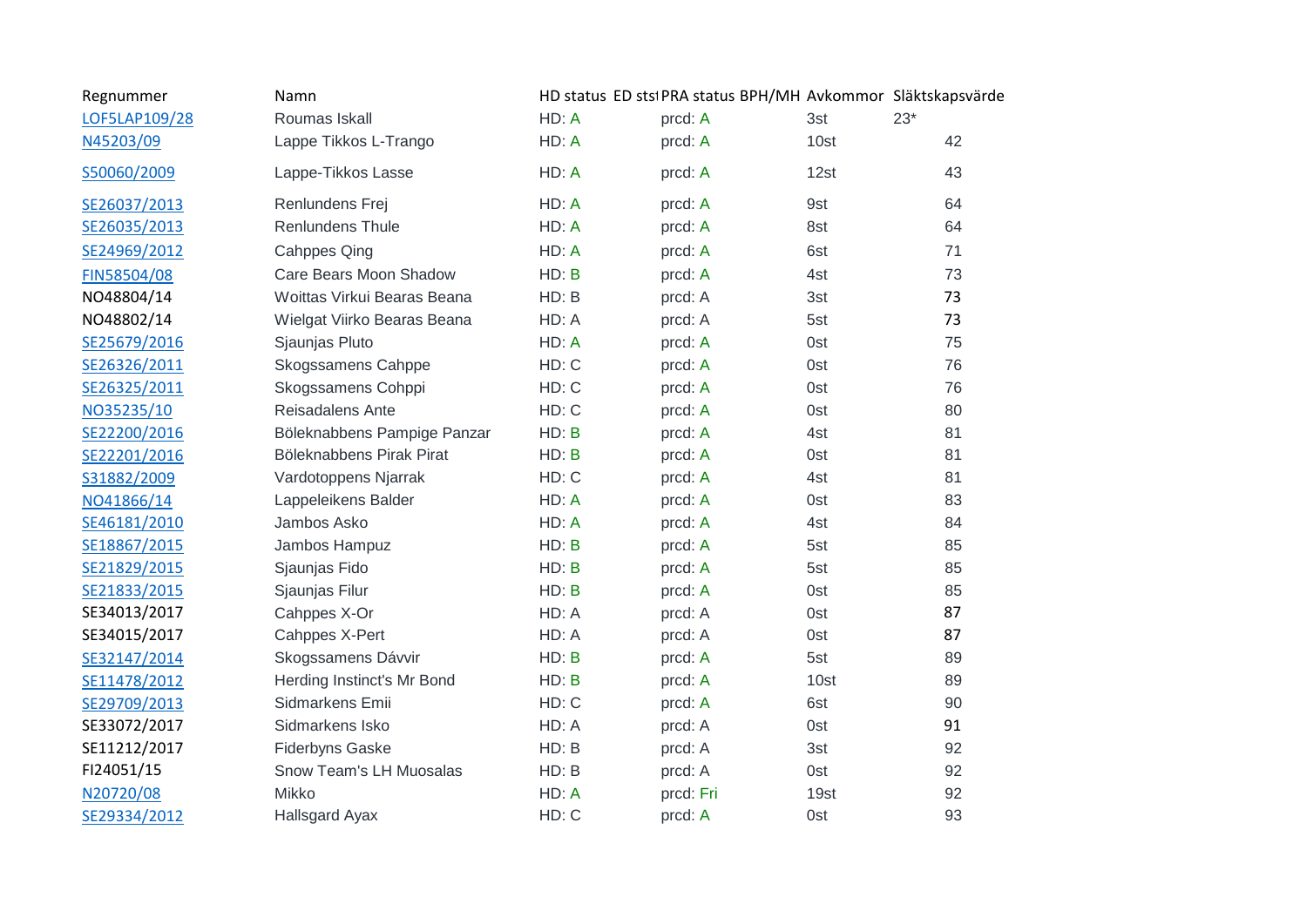| Regnummer     | Namn                        |       | HD status ED stsi PRA status BPH/MH Avkommor Släktskapsvärde |      |       |
|---------------|-----------------------------|-------|--------------------------------------------------------------|------|-------|
| LOF5LAP109/28 | Roumas Iskall               | HD: A | prcd: A                                                      | 3st  | $23*$ |
| N45203/09     | Lappe Tikkos L-Trango       | HD: A | prcd: A                                                      | 10st | 42    |
| S50060/2009   | Lappe-Tikkos Lasse          | HD: A | prcd: A                                                      | 12st | 43    |
| SE26037/2013  | Renlundens Frej             | HD: A | prcd: A                                                      | 9st  | 64    |
| SE26035/2013  | Renlundens Thule            | HD: A | prcd: A                                                      | 8st  | 64    |
| SE24969/2012  | <b>Cahppes Qing</b>         | HD: A | prcd: A                                                      | 6st  | 71    |
| FIN58504/08   | Care Bears Moon Shadow      | HD: B | prcd: A                                                      | 4st  | 73    |
| NO48804/14    | Woittas Virkui Bearas Beana | HD: B | prcd: A                                                      | 3st  | 73    |
| NO48802/14    | Wielgat Viirko Bearas Beana | HD: A | prcd: A                                                      | 5st  | 73    |
| SE25679/2016  | Sjaunjas Pluto              | HD: A | prcd: A                                                      | 0st  | 75    |
| SE26326/2011  | Skogssamens Cahppe          | HD: C | prcd: A                                                      | 0st  | 76    |
| SE26325/2011  | Skogssamens Cohppi          | HD: C | prcd: A                                                      | 0st  | 76    |
| NO35235/10    | Reisadalens Ante            | HD: C | prcd: A                                                      | 0st  | 80    |
| SE22200/2016  | Böleknabbens Pampige Panzar | HD: B | prcd: A                                                      | 4st  | 81    |
| SE22201/2016  | Böleknabbens Pirak Pirat    | HD: B | prcd: A                                                      | 0st  | 81    |
| S31882/2009   | Vardotoppens Njarrak        | HD: C | prcd: A                                                      | 4st  | 81    |
| NO41866/14    | Lappeleikens Balder         | HD: A | prcd: A                                                      | 0st  | 83    |
| SE46181/2010  | Jambos Asko                 | HD: A | prcd: A                                                      | 4st  | 84    |
| SE18867/2015  | Jambos Hampuz               | HD: B | prcd: A                                                      | 5st  | 85    |
| SE21829/2015  | Sjaunjas Fido               | HD: B | prcd: A                                                      | 5st  | 85    |
| SE21833/2015  | Sjaunjas Filur              | HD: B | prcd: A                                                      | 0st  | 85    |
| SE34013/2017  | Cahppes X-Or                | HD: A | prcd: A                                                      | 0st  | 87    |
| SE34015/2017  | Cahppes X-Pert              | HD: A | prcd: A                                                      | 0st  | 87    |
| SE32147/2014  | Skogssamens Dávvir          | HD: B | prcd: A                                                      | 5st  | 89    |
| SE11478/2012  | Herding Instinct's Mr Bond  | HD: B | prcd: A                                                      | 10st | 89    |
| SE29709/2013  | Sidmarkens Emii             | HD: C | prcd: A                                                      | 6st  | 90    |
| SE33072/2017  | Sidmarkens Isko             | HD: A | prcd: A                                                      | 0st  | 91    |
| SE11212/2017  | <b>Fiderbyns Gaske</b>      | HD: B | prcd: A                                                      | 3st  | 92    |
| FI24051/15    | Snow Team's LH Muosalas     | HD: B | prcd: A                                                      | 0st  | 92    |
| N20720/08     | Mikko                       | HD: A | prcd: Fri                                                    | 19st | 92    |
| SE29334/2012  | Hallsgard Ayax              | HD: C | prcd: A                                                      | 0st  | 93    |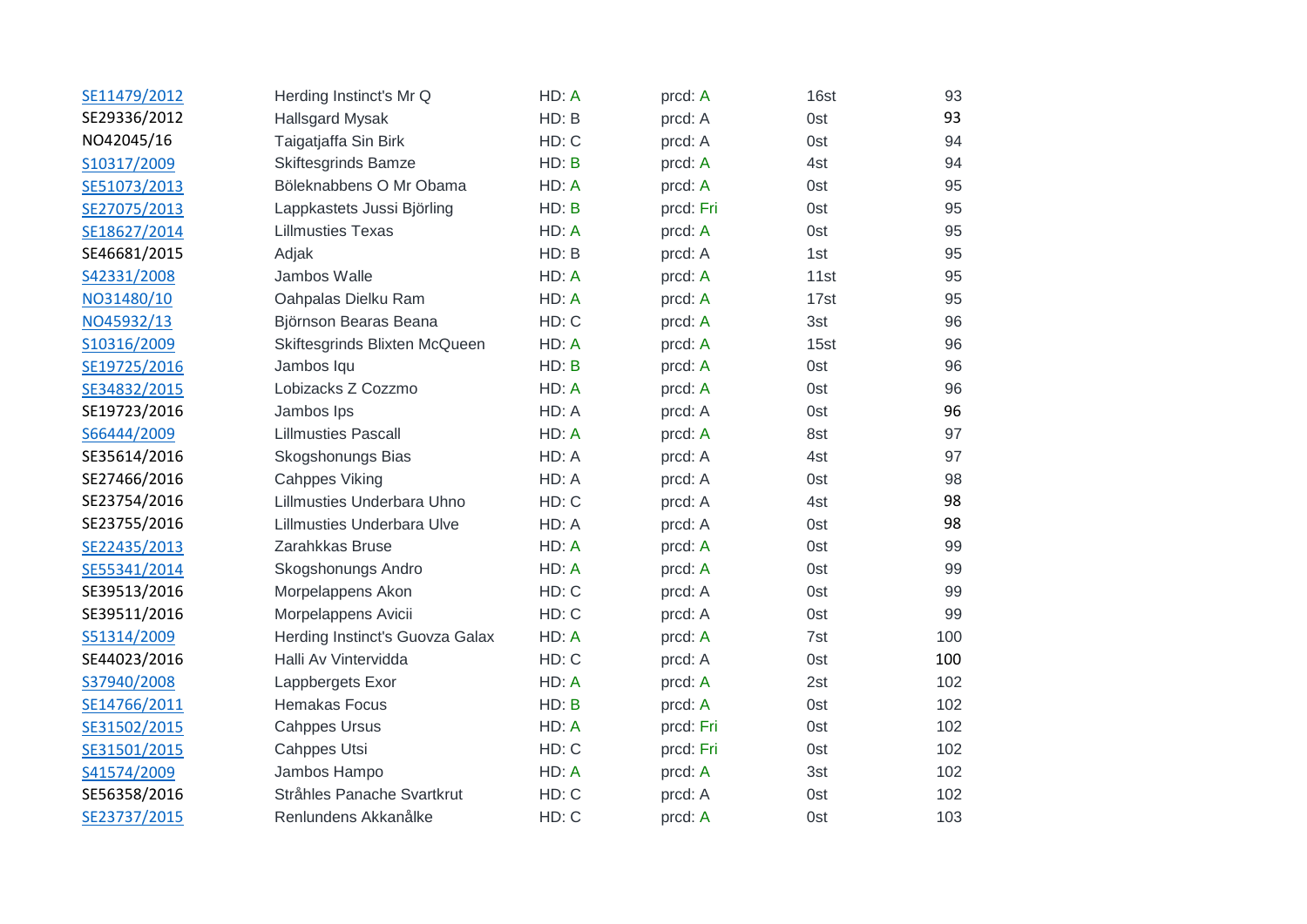| SE11479/2012 | Herding Instinct's Mr Q           | HD: A | prcd: A   | 16st | 93  |
|--------------|-----------------------------------|-------|-----------|------|-----|
| SE29336/2012 | <b>Hallsgard Mysak</b>            | HD: B | prcd: A   | 0st  | 93  |
| NO42045/16   | Taigatjaffa Sin Birk              | HD: C | prcd: A   | 0st  | 94  |
| S10317/2009  | <b>Skiftesgrinds Bamze</b>        | HD: B | prcd: A   | 4st  | 94  |
| SE51073/2013 | Böleknabbens O Mr Obama           | HD: A | prcd: A   | 0st  | 95  |
| SE27075/2013 | Lappkastets Jussi Björling        | HD: B | prcd: Fri | 0st  | 95  |
| SE18627/2014 | <b>Lillmusties Texas</b>          | HD: A | prcd: A   | 0st  | 95  |
| SE46681/2015 | Adjak                             | HD: B | prcd: A   | 1st  | 95  |
| S42331/2008  | Jambos Walle                      | HD: A | prcd: A   | 11st | 95  |
| NO31480/10   | Oahpalas Dielku Ram               | HD: A | prcd: A   | 17st | 95  |
| NO45932/13   | Björnson Bearas Beana             | HD: C | prcd: A   | 3st  | 96  |
| S10316/2009  | Skiftesgrinds Blixten McQueen     | HD: A | prcd: A   | 15st | 96  |
| SE19725/2016 | Jambos Iqu                        | HD: B | prcd: A   | 0st  | 96  |
| SE34832/2015 | Lobizacks Z Cozzmo                | HD: A | prcd: A   | 0st  | 96  |
| SE19723/2016 | Jambos Ips                        | HD: A | prcd: A   | 0st  | 96  |
| S66444/2009  | <b>Lillmusties Pascall</b>        | HD: A | prcd: A   | 8st  | 97  |
| SE35614/2016 | Skogshonungs Bias                 | HD: A | prcd: A   | 4st  | 97  |
| SE27466/2016 | <b>Cahppes Viking</b>             | HD: A | prcd: A   | 0st  | 98  |
| SE23754/2016 | Lillmusties Underbara Uhno        | HD: C | prcd: A   | 4st  | 98  |
| SE23755/2016 | <b>Lillmusties Underbara Ulve</b> | HD: A | prcd: A   | 0st  | 98  |
| SE22435/2013 | Zarahkkas Bruse                   | HD: A | prcd: A   | 0st  | 99  |
| SE55341/2014 | Skogshonungs Andro                | HD: A | prcd: A   | 0st  | 99  |
| SE39513/2016 | Morpelappens Akon                 | HD: C | prcd: A   | 0st  | 99  |
| SE39511/2016 | Morpelappens Avicii               | HD: C | prcd: A   | 0st  | 99  |
| S51314/2009  | Herding Instinct's Guovza Galax   | HD: A | prcd: A   | 7st  | 100 |
| SE44023/2016 | Halli Av Vintervidda              | HD: C | prcd: A   | 0st  | 100 |
| S37940/2008  | Lappbergets Exor                  | HD: A | prcd: A   | 2st  | 102 |
| SE14766/2011 | <b>Hemakas Focus</b>              | HD: B | prcd: A   | 0st  | 102 |
| SE31502/2015 | <b>Cahppes Ursus</b>              | HD: A | prcd: Fri | 0st  | 102 |
| SE31501/2015 | Cahppes Utsi                      | HD: C | prcd: Fri | 0st  | 102 |
| S41574/2009  | Jambos Hampo                      | HD: A | prcd: A   | 3st  | 102 |
| SE56358/2016 | Stråhles Panache Svartkrut        | HD: C | prcd: A   | 0st  | 102 |
| SE23737/2015 | Renlundens Akkanålke              | HD: C | prcd: A   | 0st  | 103 |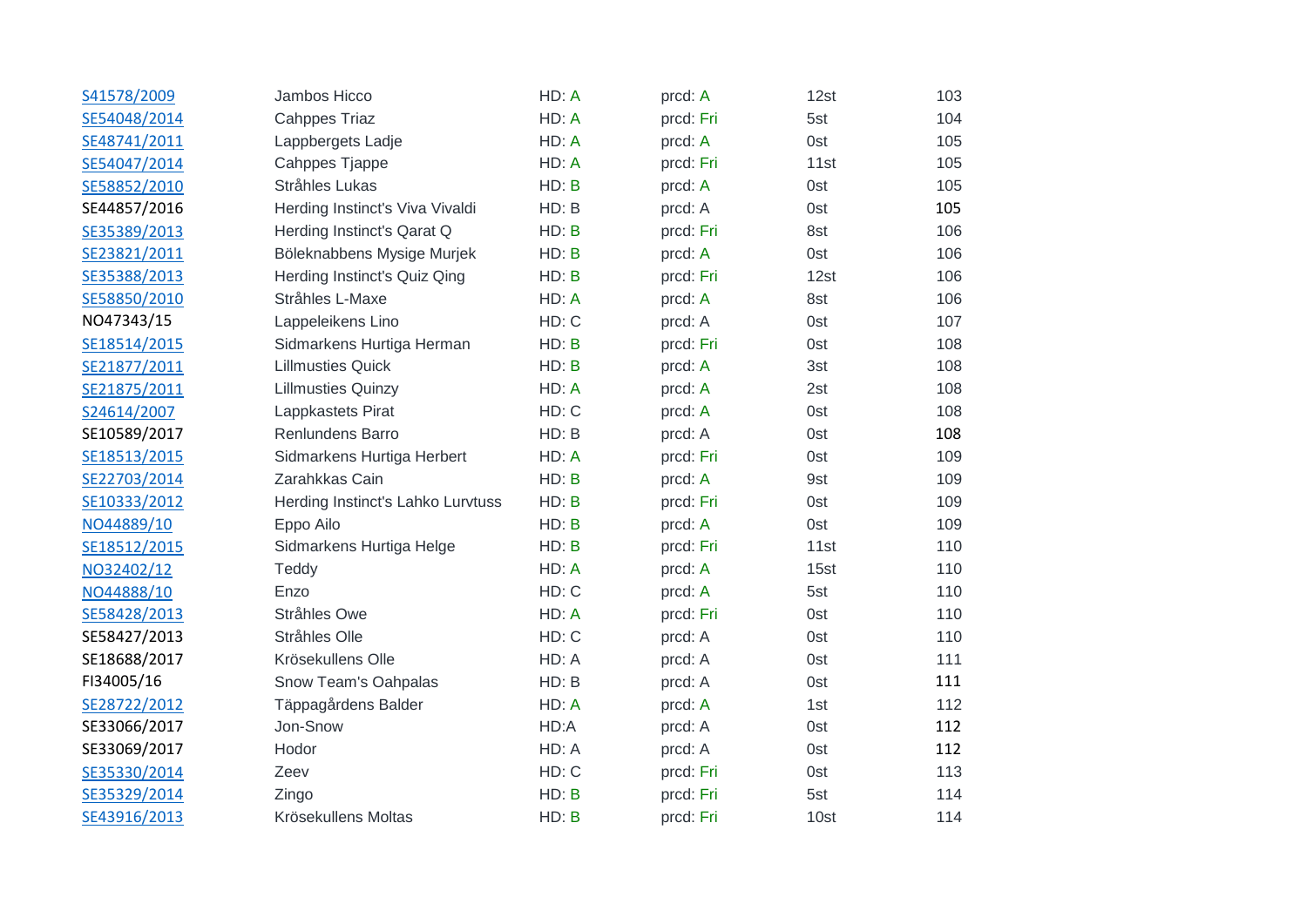| S41578/2009  | Jambos Hicco                      | HD: A | prcd: A   | 12st | 103 |
|--------------|-----------------------------------|-------|-----------|------|-----|
| SE54048/2014 | <b>Cahppes Triaz</b>              | HD: A | prcd: Fri | 5st  | 104 |
| SE48741/2011 | Lappbergets Ladje                 | HD: A | prcd: A   | 0st  | 105 |
| SE54047/2014 | Cahppes Tjappe                    | HD: A | prcd: Fri | 11st | 105 |
| SE58852/2010 | Stråhles Lukas                    | HD: B | prcd: A   | 0st  | 105 |
| SE44857/2016 | Herding Instinct's Viva Vivaldi   | HD: B | prcd: A   | 0st  | 105 |
| SE35389/2013 | Herding Instinct's Qarat Q        | HD: B | prcd: Fri | 8st  | 106 |
| SE23821/2011 | Böleknabbens Mysige Murjek        | HD: B | prcd: A   | 0st  | 106 |
| SE35388/2013 | Herding Instinct's Quiz Qing      | HD: B | prcd: Fri | 12st | 106 |
| SE58850/2010 | Stråhles L-Maxe                   | HD: A | prcd: A   | 8st  | 106 |
| NO47343/15   | Lappeleikens Lino                 | HD: C | prcd: A   | 0st  | 107 |
| SE18514/2015 | Sidmarkens Hurtiga Herman         | HD: B | prcd: Fri | 0st  | 108 |
| SE21877/2011 | <b>Lillmusties Quick</b>          | HD: B | prcd: A   | 3st  | 108 |
| SE21875/2011 | <b>Lillmusties Quinzy</b>         | HD: A | prcd: A   | 2st  | 108 |
| S24614/2007  | Lappkastets Pirat                 | HD: C | prcd: A   | 0st  | 108 |
| SE10589/2017 | Renlundens Barro                  | HD: B | prcd: A   | 0st  | 108 |
| SE18513/2015 | Sidmarkens Hurtiga Herbert        | HD: A | prcd: Fri | 0st  | 109 |
| SE22703/2014 | Zarahkkas Cain                    | HD: B | prcd: A   | 9st  | 109 |
| SE10333/2012 | Herding Instinct's Lahko Lurvtuss | HD: B | prcd: Fri | 0st  | 109 |
| NO44889/10   | Eppo Ailo                         | HD: B | prcd: A   | 0st  | 109 |
| SE18512/2015 | Sidmarkens Hurtiga Helge          | HD: B | prcd: Fri | 11st | 110 |
| NO32402/12   | Teddy                             | HD: A | prcd: A   | 15st | 110 |
| NO44888/10   | Enzo                              | HD: C | prcd: A   | 5st  | 110 |
| SE58428/2013 | Stråhles Owe                      | HD: A | prcd: Fri | 0st  | 110 |
| SE58427/2013 | Stråhles Olle                     | HD: C | prcd: A   | 0st  | 110 |
| SE18688/2017 | Krösekullens Olle                 | HD: A | prcd: A   | 0st  | 111 |
| FI34005/16   | Snow Team's Oahpalas              | HD: B | prcd: A   | 0st  | 111 |
| SE28722/2012 | Täppagårdens Balder               | HD: A | prcd: A   | 1st  | 112 |
| SE33066/2017 | Jon-Snow                          | HD:A  | prcd: A   | 0st  | 112 |
| SE33069/2017 | Hodor                             | HD: A | prcd: A   | 0st  | 112 |
| SE35330/2014 | Zeev                              | HD: C | prcd: Fri | 0st  | 113 |
| SE35329/2014 | Zingo                             | HD: B | prcd: Fri | 5st  | 114 |
| SE43916/2013 | Krösekullens Moltas               | HD: B | prcd: Fri | 10st | 114 |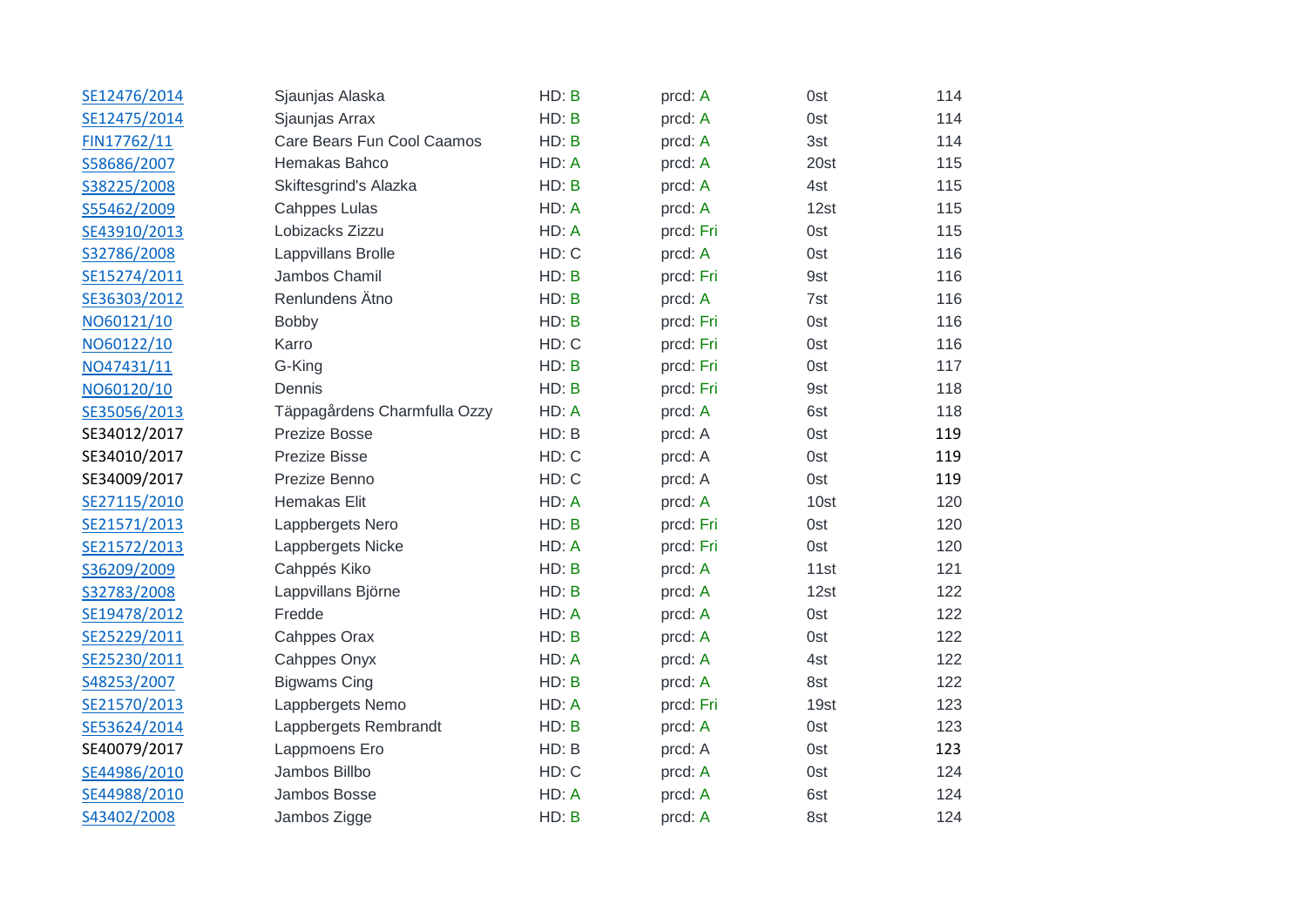| SE12476/2014 | Sjaunjas Alaska              | HD: B | prcd: A   | 0st  | 114 |
|--------------|------------------------------|-------|-----------|------|-----|
| SE12475/2014 | Sjaunjas Arrax               | HD: B | prcd: A   | 0st  | 114 |
| FIN17762/11  | Care Bears Fun Cool Caamos   | HD: B | prcd: A   | 3st  | 114 |
| S58686/2007  | Hemakas Bahco                | HD: A | prcd: A   | 20st | 115 |
| S38225/2008  | Skiftesgrind's Alazka        | HD: B | prcd: A   | 4st  | 115 |
| S55462/2009  | <b>Cahppes Lulas</b>         | HD: A | prcd: A   | 12st | 115 |
| SE43910/2013 | Lobizacks Zizzu              | HD: A | prcd: Fri | 0st  | 115 |
| S32786/2008  | Lappvillans Brolle           | HD: C | prcd: A   | 0st  | 116 |
| SE15274/2011 | Jambos Chamil                | HD: B | prcd: Fri | 9st  | 116 |
| SE36303/2012 | Renlundens Ätno              | HD: B | prcd: A   | 7st  | 116 |
| NO60121/10   | <b>Bobby</b>                 | HD: B | prcd: Fri | 0st  | 116 |
| NO60122/10   | Karro                        | HD: C | prcd: Fri | 0st  | 116 |
| NO47431/11   | G-King                       | HD: B | prcd: Fri | 0st  | 117 |
| NO60120/10   | Dennis                       | HD: B | prcd: Fri | 9st  | 118 |
| SE35056/2013 | Täppagårdens Charmfulla Ozzy | HD: A | prcd: A   | 6st  | 118 |
| SE34012/2017 | Prezize Bosse                | HD: B | prcd: A   | 0st  | 119 |
| SE34010/2017 | Prezize Bisse                | HD: C | prcd: A   | 0st  | 119 |
| SE34009/2017 | Prezize Benno                | HD: C | prcd: A   | 0st  | 119 |
| SE27115/2010 | Hemakas Elit                 | HD: A | prcd: A   | 10st | 120 |
| SE21571/2013 | Lappbergets Nero             | HD: B | prcd: Fri | 0st  | 120 |
| SE21572/2013 | Lappbergets Nicke            | HD: A | prcd: Fri | 0st  | 120 |
| S36209/2009  | Cahppés Kiko                 | HD: B | prcd: A   | 11st | 121 |
| S32783/2008  | Lappvillans Björne           | HD: B | prcd: A   | 12st | 122 |
| SE19478/2012 | Fredde                       | HD: A | prcd: A   | 0st  | 122 |
| SE25229/2011 | Cahppes Orax                 | HD: B | prcd: A   | 0st  | 122 |
| SE25230/2011 | Cahppes Onyx                 | HD: A | prcd: A   | 4st  | 122 |
| S48253/2007  | <b>Bigwams Cing</b>          | HD: B | prcd: A   | 8st  | 122 |
| SE21570/2013 | Lappbergets Nemo             | HD: A | prcd: Fri | 19st | 123 |
| SE53624/2014 | Lappbergets Rembrandt        | HD: B | prcd: A   | 0st  | 123 |
| SE40079/2017 | Lappmoens Ero                | HD: B | prcd: A   | 0st  | 123 |
| SE44986/2010 | Jambos Billbo                | HD: C | prcd: A   | 0st  | 124 |
| SE44988/2010 | Jambos Bosse                 | HD: A | prcd: A   | 6st  | 124 |
| S43402/2008  | Jambos Zigge                 | HD: B | prcd: A   | 8st  | 124 |